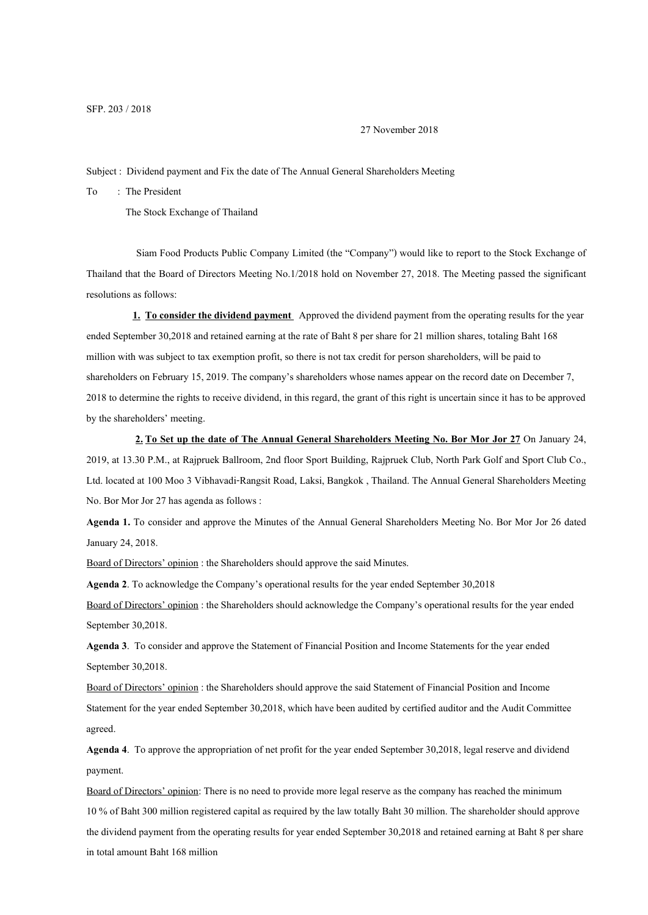27 November 2018

Subject : Dividend payment and Fix the date of The Annual General Shareholders Meeting

To : The President

The Stock Exchange of Thailand

Siam Food Products Public Company Limited (the "Company") would like to report to the Stock Exchange of Thailand that the Board of Directors Meeting No.1/2018 hold on November 27, 2018. The Meeting passed the significant resolutions as follows:

**1. To consider the dividend payment** Approved the dividend payment from the operating results for the year ended September 30,2018 and retained earning at the rate of Baht 8 per share for 21 million shares, totaling Baht 168 million with was subject to tax exemption profit, so there is not tax credit for person shareholders, will be paid to shareholders on February 15, 2019. The company's shareholders whose names appear on the record date on December 7, 2018to determine the rights to receive dividend, in this regard, the grant of this right is uncertain since it has to be approved by the shareholders' meeting.

**2. To Set up the date of The Annual General Shareholders Meeting No. Bor Mor Jor 27** On January 24, 2019, at 13.30 P.M., at Rajpruek Ballroom, 2nd floor Sport Building, Rajpruek Club, North Park Golf and Sport Club Co., Ltd. located at 100 Moo 3 Vibhavadi-Rangsit Road, Laksi, Bangkok , Thailand. The Annual General Shareholders Meeting No. Bor Mor Jor 27 has agenda as follows :

**Agenda 1.** To consider and approve the Minutes of the Annual General Shareholders Meeting No. Bor Mor Jor 26 dated January24, 2018.

Board of Directors' opinion : the Shareholders should approve the said Minutes.

**Agenda 2**. To acknowledge the Company's operational results for the year ended September 30,2018

Board of Directors' opinion : the Shareholders should acknowledge the Company's operational results for the year ended September 30,2018.

Agenda 3. To consider and approve the Statement of Financial Position and Income Statements for the year ended September 30,2018.

Board of Directors' opinion : the Shareholders should approve the said Statement of Financial Position and Income Statement for the year ended September 30,2018, which have been audited by certified auditor and the Audit Committee agreed.

**Agenda 4**. To approve the appropriation of net profit for the year ended September 30,2018, legal reserve and dividend payment.

Board of Directors' opinion: There is no need to provide more legal reserve as the company has reached the minimum 10 % of Baht 300 million registered capital as required by the law totally Baht 30 million. The shareholder should approve the dividend payment from the operating results foryear ended September 30,2018 and retained earning at Baht 8 per share in total amount Baht 168 million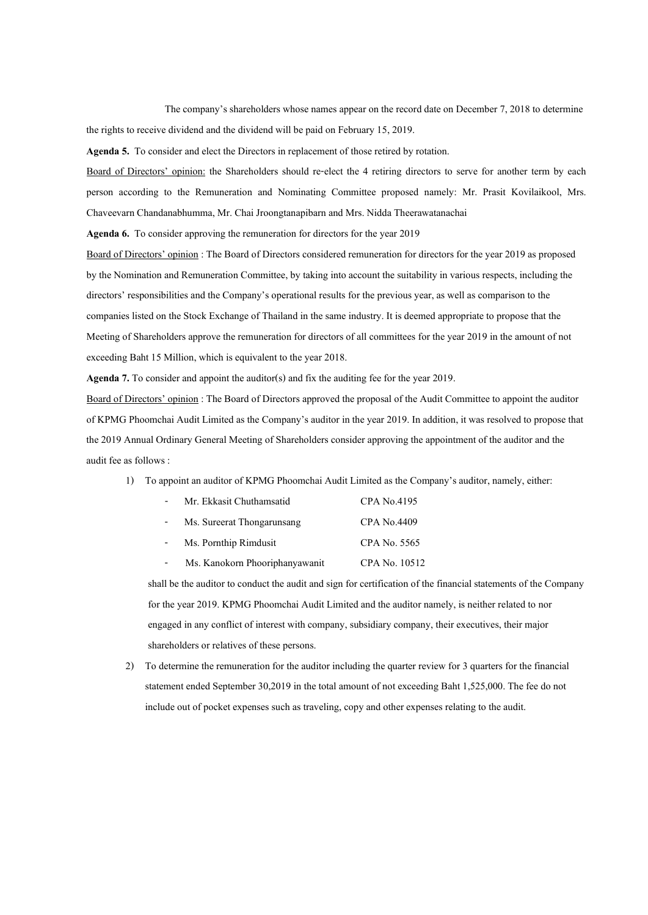The company's shareholders whose names appear on the record date on December 7, 2018 to determine the rights to receive dividend and the dividend will be paid on February 15, 2019.

**Agenda 5.** To consider and elect the Directors in replacement of those retired by rotation.

Board of Directors' opinion: the Shareholders should re-elect the 4 retiring directors to serve for another term by each person according to the Remuneration and Nominating Committee proposed namely: Mr. Prasit Kovilaikool, Mrs. Chaveevarn Chandanabhumma, Mr. Chai Jroongtanapibarn and Mrs. Nidda Theerawatanachai

**Agenda 6.** To consider approving the remuneration for directors for the year 2019

Board of Directors' opinion : The Board of Directors considered remuneration for directors for the year 2019 as proposed by the Nomination and Remuneration Committee, by taking into account the suitability in various respects, including the directors' responsibilities and the Company's operational results for the previous year, as well as comparison to the companies listed on the Stock Exchange of Thailand in the same industry. It is deemed appropriate to propose that the Meeting of Shareholders approve the remuneration for directors of all committees for the year 2019 in the amount of not exceeding Baht 15 Million, which is equivalent to the year 2018.

**Agenda 7.** To consider and appoint the auditor(s) and fix the auditing fee for the year 2019.

Board of Directors' opinion : The Board of Directors approved the proposal of the Audit Committee to appoint the auditor of KPMG Phoomchai Audit Limited as the Company's auditor in the year 2019. In addition, it was resolved to propose that the 2019 Annual Ordinary General Meeting of Shareholders consider approving the appointment of the auditor and the audit fee as follows :

1) To appoint an auditor of KPMG Phoomchai Audit Limited as the Company's auditor, namely, either:

| $\overline{a}$ | Mr. Ekkasit Chuthamsatid       | CPA No.4195        |
|----------------|--------------------------------|--------------------|
|                | Ms. Sureerat Thongarunsang     | <b>CPA No.4409</b> |
| $\overline{a}$ | Ms. Pornthip Rimdusit          | CPA No. 5565       |
|                | Ms. Kanokorn Phooriphanyawanit | CPA No. 10512      |

shall be the auditor to conduct the audit and sign for certification of the financial statements of the Company for the year 2019. KPMG Phoomchai Audit Limited and the auditor namely, is neither related to nor engaged in any conflict of interest with company, subsidiary company, their executives, their major shareholders or relatives of these persons.

2) To determine the remuneration for the auditor including the quarter review for 3quarters for the financial statement ended September 30,2019 in the total amount of not exceeding Baht 1,525,000. The fee do not include out of pocket expenses such as traveling, copy and other expenses relating to the audit.